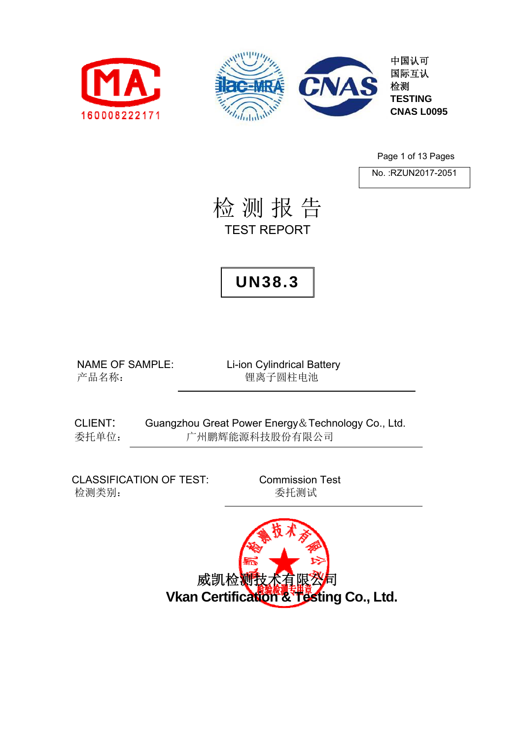



Page 1 of 13 Pages

No. :RZUN2017-2051

检 测 报 告 TEST REPORT

## **UN38.3**

产品名称: 锂离子圆柱电池

NAME OF SAMPLE: Li-ion Cylindrical Battery

CLIENT: Guangzhou Great Power Energy&Technology Co., Ltd. 委托单位: 广州鹏辉能源科技股份有限公司

CLASSIFICATION OF TEST: Commission Test 检测类别: 委托测试

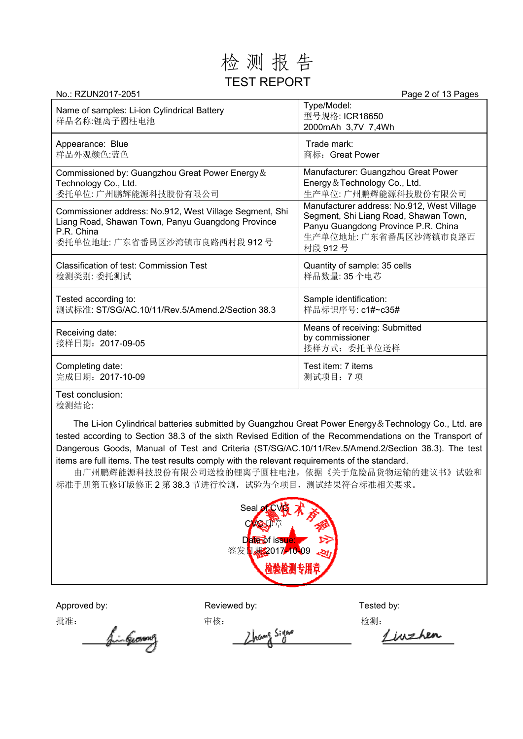## 检 测 报 告 TEST REPORT

| No.: RZUN2017-2051                                                                                                                                         | Page 2 of 13 Pages                                                                                                                                             |
|------------------------------------------------------------------------------------------------------------------------------------------------------------|----------------------------------------------------------------------------------------------------------------------------------------------------------------|
| Name of samples: Li-ion Cylindrical Battery<br>样品名称:锂离子圆柱电池                                                                                                | Type/Model:<br>型号规格: ICR18650<br>2000mAh 3,7V 7,4Wh                                                                                                            |
| Appearance: Blue                                                                                                                                           | Trade mark:                                                                                                                                                    |
| 样品外观颜色:蓝色                                                                                                                                                  | 商标: Great Power                                                                                                                                                |
| Commissioned by: Guangzhou Great Power Energy &                                                                                                            | Manufacturer: Guangzhou Great Power                                                                                                                            |
| Technology Co., Ltd.                                                                                                                                       | Energy & Technology Co., Ltd.                                                                                                                                  |
| 委托单位: 广州鹏辉能源科技股份有限公司                                                                                                                                       | 生产单位: 广州鹏辉能源科技股份有限公司                                                                                                                                           |
| Commissioner address: No.912, West Village Segment, Shi<br>Liang Road, Shawan Town, Panyu Guangdong Province<br>P.R. China<br>委托单位地址: 广东省番禺区沙湾镇市良路西村段 912号 | Manufacturer address: No.912, West Village<br>Segment, Shi Liang Road, Shawan Town,<br>Panyu Guangdong Province P.R. China<br>生产单位地址: 广东省番禺区沙湾镇市良路西<br>村段 912号 |
| <b>Classification of test: Commission Test</b>                                                                                                             | Quantity of sample: 35 cells                                                                                                                                   |
| 检测类别: 委托测试                                                                                                                                                 | 样品数量: 35个电芯                                                                                                                                                    |
| Tested according to:                                                                                                                                       | Sample identification:                                                                                                                                         |
| 测试标准: ST/SG/AC.10/11/Rev.5/Amend.2/Section 38.3                                                                                                            | 样品标识序号: c1#~c35#                                                                                                                                               |
| Receiving date:<br>接样日期: 2017-09-05                                                                                                                        | Means of receiving: Submitted<br>by commissioner<br>接样方式: 委托单位送样                                                                                               |
| Completing date:                                                                                                                                           | Test item: 7 items                                                                                                                                             |
| 完成日期: 2017-10-09                                                                                                                                           | 测试项目: 7项                                                                                                                                                       |

Test conclusion: 检测结论:

The Li-ion Cylindrical batteries submitted by Guangzhou Great Power Energy&Technology Co., Ltd. are tested according to Section 38.3 of the sixth Revised Edition of the Recommendations on the Transport of Dangerous Goods, Manual of Test and Criteria (ST/SG/AC.10/11/Rev.5/Amend.2/Section 38.3). The test items are full items. The test results comply with the relevant requirements of the standard.

由广州鹏辉能源科技股份有限公司送检的锂离子圆柱电池,依据《关于危险品货物运输的建议书》试验和 标准手册第五修订版修正 2 第 38.3 节进行检测, 试验为全项目, 测试结果符合标准相关要求。



Approved by: Reviewed by: Reviewed by: Tested by:

Singrams

批准: 审核: 检测: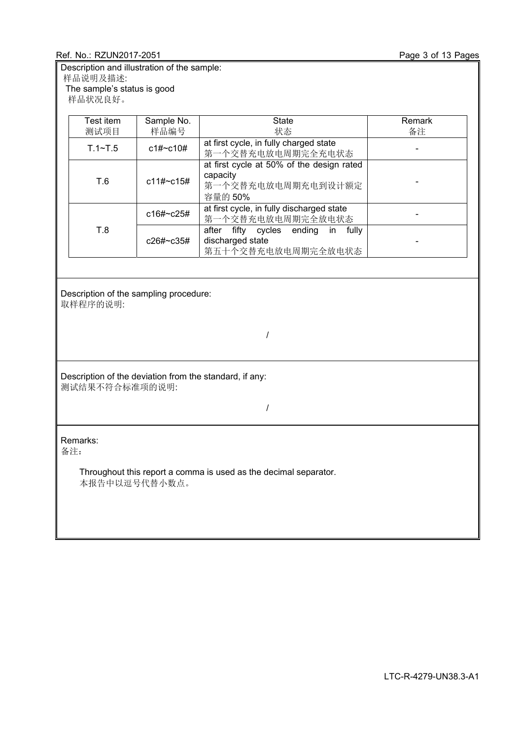#### Ref. No.: RZUN2017-2051 Page 3 of 13 Pages

Description and illustration of the sample:

样品说明及描述:

The sample's status is good

样品状况良好。

| Test item<br>测试项目 | Sample No.<br>样品编号 | <b>State</b><br>状态                                                                     | Remark<br>备注 |
|-------------------|--------------------|----------------------------------------------------------------------------------------|--------------|
| $T.1 - T.5$       | c1#~c10#           | at first cycle, in fully charged state<br>第一个交替充电放电周期完全充电状态                            |              |
| T.6               | $c11\# C15\#$      | at first cycle at 50% of the design rated<br>capacity<br>第一个交替充电放电周期充电到设计额定<br>容量的 50% |              |
|                   | $c16\#C25\#$       | at first cycle, in fully discharged state<br>第一个交替充电放电周期完全放电状态                         |              |
| T.8               | $c26\# \sim c35\#$ | after fifty cycles ending in<br>fully<br>discharged state<br>第五十个交替充电放电周期完全放电状态        |              |

#### Description of the sampling procedure: 取样程序的说明:

Description of the deviation from the standard, if any: 测试结果不符合标准项的说明:

/

/

### Remarks:

备注:

Throughout this report a comma is used as the decimal separator. 本报告中以逗号代替小数点。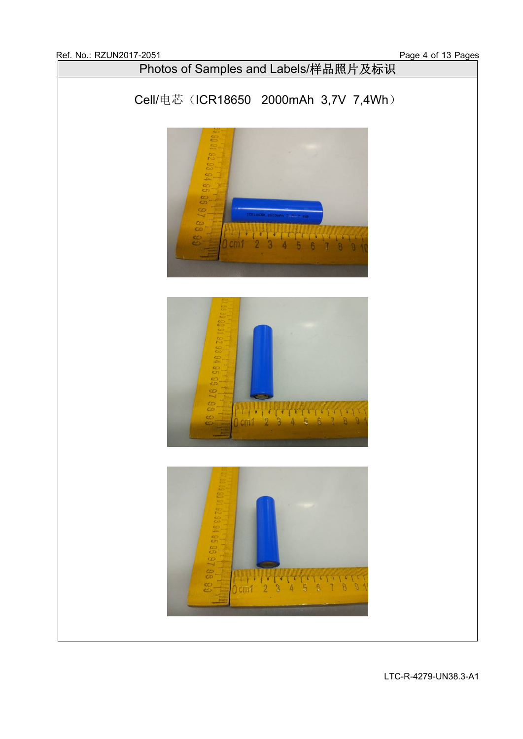

LTC-R-4279-UN38.3-A1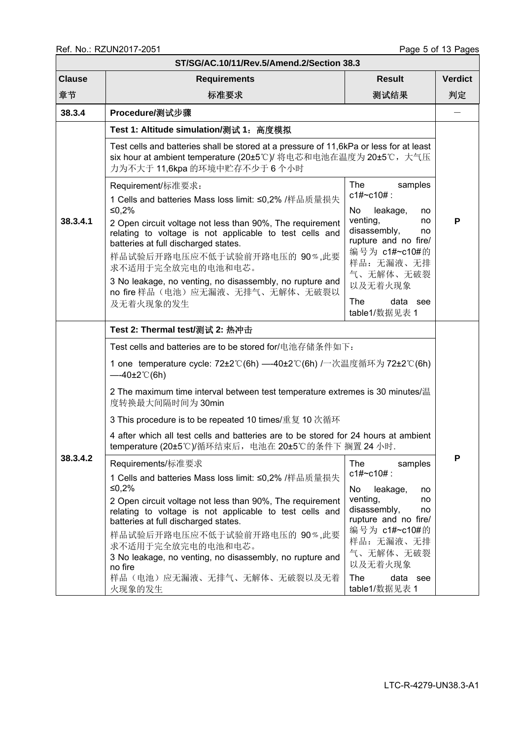|               | ST/SG/AC.10/11/Rev.5/Amend.2/Section 38.3                                                                                                                                                                                                                                                                                                                                                                                                                                                                                                                                                                                                                                                                                                                                                                                                                                                                                    |                                                                                                                                                                                                                                 |                |  |  |  |  |  |
|---------------|------------------------------------------------------------------------------------------------------------------------------------------------------------------------------------------------------------------------------------------------------------------------------------------------------------------------------------------------------------------------------------------------------------------------------------------------------------------------------------------------------------------------------------------------------------------------------------------------------------------------------------------------------------------------------------------------------------------------------------------------------------------------------------------------------------------------------------------------------------------------------------------------------------------------------|---------------------------------------------------------------------------------------------------------------------------------------------------------------------------------------------------------------------------------|----------------|--|--|--|--|--|
| <b>Clause</b> | <b>Requirements</b>                                                                                                                                                                                                                                                                                                                                                                                                                                                                                                                                                                                                                                                                                                                                                                                                                                                                                                          | <b>Result</b>                                                                                                                                                                                                                   | <b>Verdict</b> |  |  |  |  |  |
| 章节            | 标准要求                                                                                                                                                                                                                                                                                                                                                                                                                                                                                                                                                                                                                                                                                                                                                                                                                                                                                                                         | 测试结果                                                                                                                                                                                                                            | 判定             |  |  |  |  |  |
| 38.3.4        | Procedure/测试步骤                                                                                                                                                                                                                                                                                                                                                                                                                                                                                                                                                                                                                                                                                                                                                                                                                                                                                                               |                                                                                                                                                                                                                                 |                |  |  |  |  |  |
| 38.3.4.1      | Test 1: Altitude simulation/测试 1: 高度模拟<br>Test cells and batteries shall be stored at a pressure of 11,6kPa or less for at least<br>six hour at ambient temperature (20±5℃)/ 将电芯和电池在温度为 20±5℃, 大气压<br>力为不大于 11,6kpa 的环境中贮存不少于 6 个小时                                                                                                                                                                                                                                                                                                                                                                                                                                                                                                                                                                                                                                                                                          |                                                                                                                                                                                                                                 |                |  |  |  |  |  |
|               | The<br>samples<br>Requirement/标准要求:<br>c1#~c10#:<br>1 Cells and batteries Mass loss limit: ≤0,2% /样品质量损失<br>≤0,2%<br>No<br>leakage,<br>no<br>venting,<br>no<br>2 Open circuit voltage not less than 90%, The requirement<br>disassembly,<br>no<br>relating to voltage is not applicable to test cells and<br>rupture and no fire/<br>batteries at full discharged states.<br>编号为 c1#~c10#的<br>样品试验后开路电压应不低于试验前开路电压的 90%,此要<br>样品: 无漏液、无排<br>求不适用于完全放完电的电池和电芯。<br>气、无解体、无破裂<br>3 No leakage, no venting, no disassembly, no rupture and<br>以及无着火现象<br>no fire 样品(电池)应无漏液、无排气、无解体、无破裂以<br>The<br>data see<br>及无着火现象的发生<br>table1/数据见表 1                                                                                                                                                                                                                                                                                        |                                                                                                                                                                                                                                 |                |  |  |  |  |  |
| 38.3.4.2      | Test 2: Thermal test/测试 2: 热冲击<br>Test cells and batteries are to be stored for/电池存储条件如下:<br>1 one temperature cycle: 72±2℃(6h) —-40±2℃(6h) /一次温度循环为 72±2℃(6h)<br>$-40\pm2^{\circ}$ (6h)<br>2 The maximum time interval between test temperature extremes is 30 minutes/温<br>度转换最大间隔时间为30min<br>3 This procedure is to be repeated 10 times/重复 10 次循环<br>4 after which all test cells and batteries are to be stored for 24 hours at ambient<br>temperature (20±5℃)/循环结束后, 电池在 20±5℃的条件下 搁置 24 小时.<br>Requirements/标准要求<br>1 Cells and batteries Mass loss limit: ≤0,2% /样品质量损失<br>≤0,2%<br>2 Open circuit voltage not less than 90%, The requirement<br>relating to voltage is not applicable to test cells and<br>batteries at full discharged states.<br>样品试验后开路电压应不低于试验前开路电压的 90%,此要<br>求不适用于完全放完电的电池和电芯。<br>3 No leakage, no venting, no disassembly, no rupture and<br>no fire<br>样品(电池)应无漏液、无排气、无解体、无破裂以及无着<br>火现象的发生 | <b>The</b><br>samples<br>$c1#~c10#$ :<br>No<br>leakage,<br>no<br>venting,<br>no<br>disassembly,<br>no<br>rupture and no fire/<br>编号为 c1#~c10#的<br>样品: 无漏液、无排<br>气、无解体、无破裂<br>以及无着火现象<br><b>The</b><br>data see<br>table1/数据见表 1 | P              |  |  |  |  |  |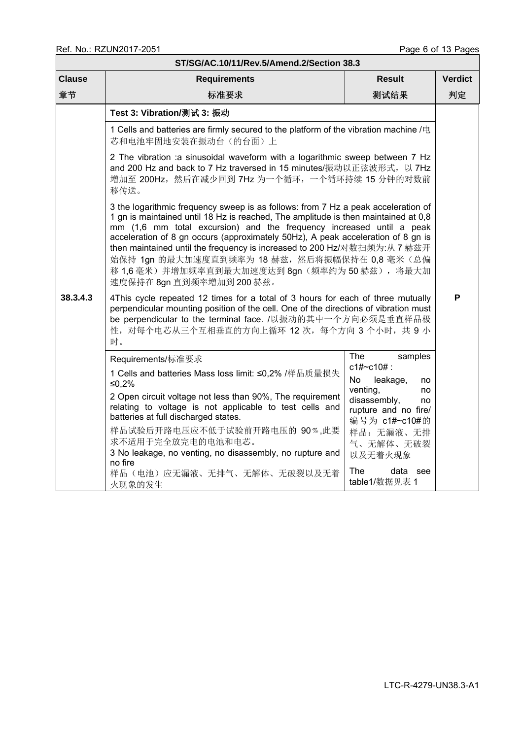| ST/SG/AC.10/11/Rev.5/Amend.2/Section 38.3 |                                                                                                                                                                                                                                                                                                                                                                                                                                                                                                                                                   |                                  |                |  |  |  |  |
|-------------------------------------------|---------------------------------------------------------------------------------------------------------------------------------------------------------------------------------------------------------------------------------------------------------------------------------------------------------------------------------------------------------------------------------------------------------------------------------------------------------------------------------------------------------------------------------------------------|----------------------------------|----------------|--|--|--|--|
| <b>Clause</b>                             | <b>Requirements</b>                                                                                                                                                                                                                                                                                                                                                                                                                                                                                                                               | <b>Result</b>                    | <b>Verdict</b> |  |  |  |  |
| 章节                                        | 标准要求                                                                                                                                                                                                                                                                                                                                                                                                                                                                                                                                              | 测试结果                             | 判定             |  |  |  |  |
|                                           | Test 3: Vibration/测试 3: 振动                                                                                                                                                                                                                                                                                                                                                                                                                                                                                                                        |                                  |                |  |  |  |  |
| 38.3.4.3                                  | 1 Cells and batteries are firmly secured to the platform of the vibration machine /电<br>芯和电池牢固地安装在振动台(的台面)上                                                                                                                                                                                                                                                                                                                                                                                                                                       |                                  |                |  |  |  |  |
|                                           | 2 The vibration :a sinusoidal waveform with a logarithmic sweep between 7 Hz<br>and 200 Hz and back to 7 Hz traversed in 15 minutes/振动以正弦波形式, 以 7Hz<br>增加至 200Hz, 然后在减少回到 7Hz 为一个循环, 一个循环持续 15 分钟的对数前<br>移传送。                                                                                                                                                                                                                                                                                                                                     |                                  |                |  |  |  |  |
|                                           | 3 the logarithmic frequency sweep is as follows: from 7 Hz a peak acceleration of<br>1 gn is maintained until 18 Hz is reached, The amplitude is then maintained at 0,8<br>mm (1,6 mm total excursion) and the frequency increased until a peak<br>acceleration of 8 gn occurs (approximately 50Hz), A peak acceleration of 8 gn is<br>then maintained until the frequency is increased to 200 Hz/对数扫频为:从 7 赫兹开<br>始保持 1gn 的最大加速度直到频率为 18 赫兹, 然后将振幅保持在 0,8 毫米 (总偏<br>移 1,6 毫米) 并增加频率直到最大加速度达到 8gn (频率约为 50 赫兹), 将最大加<br>速度保持在 8gn 直到频率增加到 200 赫兹。 |                                  |                |  |  |  |  |
|                                           | 4This cycle repeated 12 times for a total of 3 hours for each of three mutually<br>perpendicular mounting position of the cell. One of the directions of vibration must<br>be perpendicular to the terminal face. /以振动的其中一个方向必须是垂直样品极<br>性,对每个电芯从三个互相垂直的方向上循环 12 次,每个方向 3 个小时,共 9 小<br>时。                                                                                                                                                                                                                                                         |                                  |                |  |  |  |  |
|                                           | Requirements/标准要求                                                                                                                                                                                                                                                                                                                                                                                                                                                                                                                                 | <b>The</b><br>samples            |                |  |  |  |  |
|                                           | $c1#~c10#$ :<br>1 Cells and batteries Mass loss limit: ≤0,2% /样品质量损失<br>No<br>leakage,<br>no<br>≤0,2%<br>venting,<br>no<br>2 Open circuit voltage not less than 90%, The requirement<br>disassembly,<br>no<br>relating to voltage is not applicable to test cells and<br>rupture and no fire/<br>batteries at full discharged states.<br>编号为 c1#~c10#的<br>样品试验后开路电压应不低于试验前开路电压的 90%,此要<br>样品: 无漏液、无排<br>求不适用于完全放完电的电池和电芯。<br>气、无解体、无破裂<br>3 No leakage, no venting, no disassembly, no rupture and<br>以及无着火现象                                     |                                  |                |  |  |  |  |
|                                           | no fire<br>样品(电池)应无漏液、无排气、无解体、无破裂以及无着<br>火现象的发生                                                                                                                                                                                                                                                                                                                                                                                                                                                                                                   | The<br>data see<br>table1/数据见表 1 |                |  |  |  |  |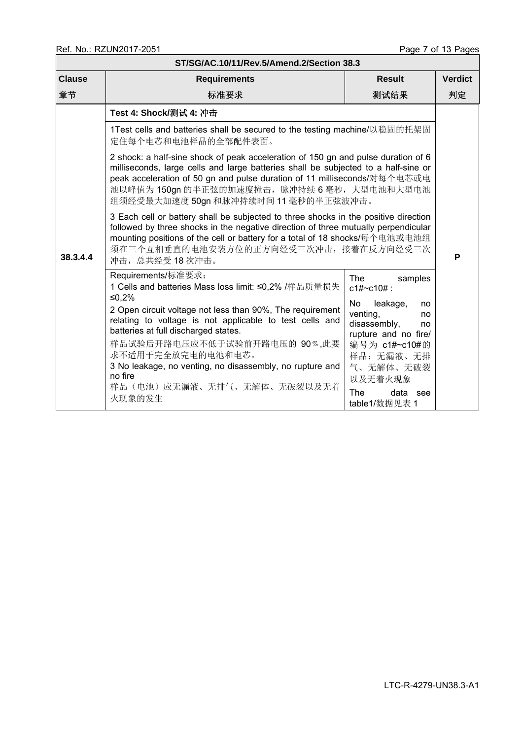| ST/SG/AC.10/11/Rev.5/Amend.2/Section 38.3 |                                                                                                                                                                                                                                                                                                                        |                                                                                                                                                                                                                                                                                                     |    |  |  |  |  |  |
|-------------------------------------------|------------------------------------------------------------------------------------------------------------------------------------------------------------------------------------------------------------------------------------------------------------------------------------------------------------------------|-----------------------------------------------------------------------------------------------------------------------------------------------------------------------------------------------------------------------------------------------------------------------------------------------------|----|--|--|--|--|--|
| Clause                                    | <b>Result</b><br><b>Requirements</b>                                                                                                                                                                                                                                                                                   |                                                                                                                                                                                                                                                                                                     |    |  |  |  |  |  |
| 章节                                        | 标准要求                                                                                                                                                                                                                                                                                                                   | 测试结果                                                                                                                                                                                                                                                                                                | 判定 |  |  |  |  |  |
|                                           | Test 4: Shock/测试 4: 冲击                                                                                                                                                                                                                                                                                                 |                                                                                                                                                                                                                                                                                                     |    |  |  |  |  |  |
| 38.3.4.4                                  | 1Test cells and batteries shall be secured to the testing machine/以稳固的托架固<br>定住每个电芯和电池样品的全部配件表面。                                                                                                                                                                                                                       |                                                                                                                                                                                                                                                                                                     |    |  |  |  |  |  |
|                                           | 组须经受最大加速度 50gn 和脉冲持续时间 11 毫秒的半正弦波冲击。                                                                                                                                                                                                                                                                                   | 2 shock: a half-sine shock of peak acceleration of 150 gn and pulse duration of 6<br>milliseconds, large cells and large batteries shall be subjected to a half-sine or<br>peak acceleration of 50 gn and pulse duration of 11 milliseconds/对每个电芯或电<br>池以峰值为 150gn 的半正弦的加速度撞击, 脉冲持续 6 毫秒, 大型电池和大型电池 |    |  |  |  |  |  |
|                                           | 3 Each cell or battery shall be subjected to three shocks in the positive direction<br>followed by three shocks in the negative direction of three mutually perpendicular<br>mounting positions of the cell or battery for a total of 18 shocks/每个电池或电池组<br>须在三个互相垂直的电池安装方位的正方向经受三次冲击,接着在反方向经受三次<br>冲击, 总共经受18次冲击。     |                                                                                                                                                                                                                                                                                                     |    |  |  |  |  |  |
|                                           | Requirements/标准要求:<br>1 Cells and batteries Mass loss limit: ≤0,2% /样品质量损失<br>≤0,2%                                                                                                                                                                                                                                    | <b>The</b><br>samples<br>$c1#~c10#$ :                                                                                                                                                                                                                                                               |    |  |  |  |  |  |
|                                           | 2 Open circuit voltage not less than 90%, The requirement<br>relating to voltage is not applicable to test cells and<br>batteries at full discharged states.<br>样品试验后开路电压应不低于试验前开路电压的 90%,此要<br>求不适用于完全放完电的电池和电芯。<br>3 No leakage, no venting, no disassembly, no rupture and<br>no fire<br>样品(电池)应无漏液、无排气、无解体、无破裂以及无着 | No.<br>leakage,<br>no<br>venting,<br>no.<br>disassembly,<br>no<br>rupture and no fire/<br>编号为 c1#~c10#的<br>样品: 无漏液、无排<br>气、无解体、无破裂<br>以及无着火现象                                                                                                                                                       |    |  |  |  |  |  |
|                                           | 火现象的发生                                                                                                                                                                                                                                                                                                                 | The<br>data see<br>table1/数据见表 1                                                                                                                                                                                                                                                                    |    |  |  |  |  |  |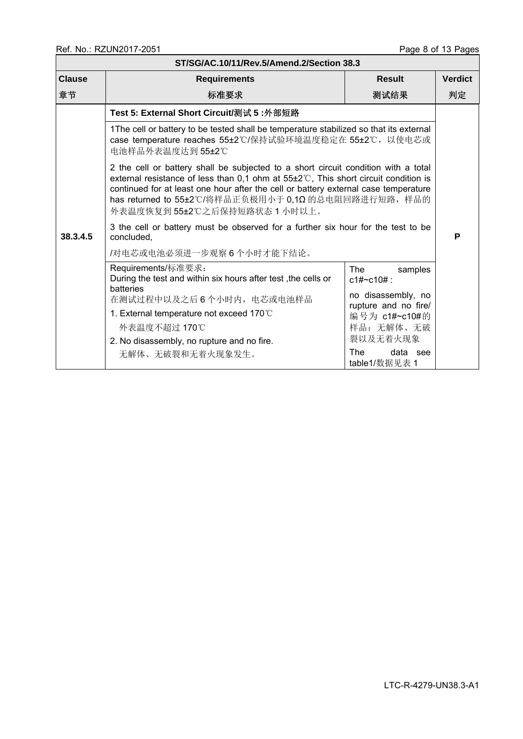| ST/SG/AC.10/11/Rev.5/Amend.2/Section 38.3 |                                                                                                                                                                                                                                                                                                                                                                |                                         |    |  |  |  |
|-------------------------------------------|----------------------------------------------------------------------------------------------------------------------------------------------------------------------------------------------------------------------------------------------------------------------------------------------------------------------------------------------------------------|-----------------------------------------|----|--|--|--|
| <b>Clause</b>                             | <b>Requirements</b><br><b>Result</b>                                                                                                                                                                                                                                                                                                                           |                                         |    |  |  |  |
| 章节                                        | 标准要求                                                                                                                                                                                                                                                                                                                                                           | 测试结果                                    | 判定 |  |  |  |
|                                           | Test 5: External Short Circuit/测试 5 :外部短路                                                                                                                                                                                                                                                                                                                      |                                         |    |  |  |  |
|                                           | 1The cell or battery to be tested shall be temperature stabilized so that its external<br>case temperature reaches 55±2℃/保持试验环境温度稳定在 55±2℃, 以使电芯或<br>电池样品外表温度达到55±2℃                                                                                                                                                                                           |                                         |    |  |  |  |
|                                           | 2 the cell or battery shall be subjected to a short circuit condition with a total<br>external resistance of less than 0,1 ohm at $55\pm2\degree$ This short circuit condition is<br>continued for at least one hour after the cell or battery external case temperature<br>has returned to 55±2℃/将样品正负极用小于 0,1Ω 的总电阻回路进行短路, 样品的<br>外表温度恢复到55±2℃之后保持短路状态1小时以上。 |                                         |    |  |  |  |
| 38.3.4.5                                  | 3 the cell or battery must be observed for a further six hour for the test to be<br>concluded,                                                                                                                                                                                                                                                                 |                                         |    |  |  |  |
|                                           | /对电芯或电池必须进一步观察6个小时才能下结论。                                                                                                                                                                                                                                                                                                                                       |                                         |    |  |  |  |
|                                           | Requirements/标准要求:<br>During the test and within six hours after test, the cells or<br>batteries                                                                                                                                                                                                                                                               | <b>The</b><br>samples<br>$c1\# C10\#$ : |    |  |  |  |
|                                           | 在测试过程中以及之后6个小时内, 电芯或电池样品                                                                                                                                                                                                                                                                                                                                       | no disassembly, no                      |    |  |  |  |
|                                           | 1. External temperature not exceed 170°C                                                                                                                                                                                                                                                                                                                       | rupture and no fire/<br>编号为 c1#~c10#的   |    |  |  |  |
|                                           | 外表温度不超过 170℃                                                                                                                                                                                                                                                                                                                                                   | 样品: 无解体、无破                              |    |  |  |  |
|                                           | 2. No disassembly, no rupture and no fire.                                                                                                                                                                                                                                                                                                                     | 裂以及无着火现象                                |    |  |  |  |
|                                           | 无解体、无破裂和无着火现象发生。                                                                                                                                                                                                                                                                                                                                               | <b>The</b><br>data see<br>table1/数据见表 1 |    |  |  |  |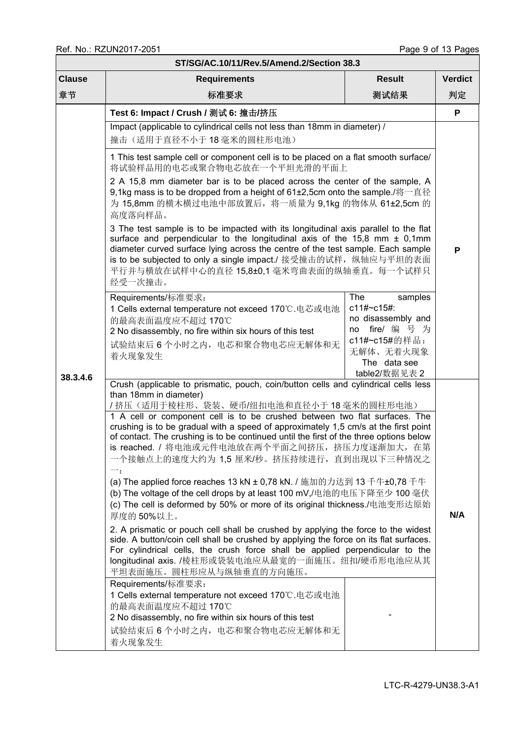| ST/SG/AC.10/11/Rev.5/Amend.2/Section 38.3 |                                                                                                                                                                                                                                                                                                                                                                                                                                                                                                                                                                                                                                                                                                                                                                                                                                                                                                                                                                                                                                                                                                                                                                                                                                                                                                                |                                                                                                 |                |  |  |  |  |
|-------------------------------------------|----------------------------------------------------------------------------------------------------------------------------------------------------------------------------------------------------------------------------------------------------------------------------------------------------------------------------------------------------------------------------------------------------------------------------------------------------------------------------------------------------------------------------------------------------------------------------------------------------------------------------------------------------------------------------------------------------------------------------------------------------------------------------------------------------------------------------------------------------------------------------------------------------------------------------------------------------------------------------------------------------------------------------------------------------------------------------------------------------------------------------------------------------------------------------------------------------------------------------------------------------------------------------------------------------------------|-------------------------------------------------------------------------------------------------|----------------|--|--|--|--|
| <b>Clause</b>                             | <b>Requirements</b>                                                                                                                                                                                                                                                                                                                                                                                                                                                                                                                                                                                                                                                                                                                                                                                                                                                                                                                                                                                                                                                                                                                                                                                                                                                                                            | <b>Result</b>                                                                                   | <b>Verdict</b> |  |  |  |  |
| 章节                                        | 标准要求                                                                                                                                                                                                                                                                                                                                                                                                                                                                                                                                                                                                                                                                                                                                                                                                                                                                                                                                                                                                                                                                                                                                                                                                                                                                                                           | 测试结果                                                                                            | 判定             |  |  |  |  |
|                                           | Test 6: Impact / Crush / 测试 6: 撞击/挤压                                                                                                                                                                                                                                                                                                                                                                                                                                                                                                                                                                                                                                                                                                                                                                                                                                                                                                                                                                                                                                                                                                                                                                                                                                                                           |                                                                                                 | P              |  |  |  |  |
|                                           | Impact (applicable to cylindrical cells not less than 18mm in diameter) /<br>撞击(适用于直径不小于18毫米的圆柱形电池)                                                                                                                                                                                                                                                                                                                                                                                                                                                                                                                                                                                                                                                                                                                                                                                                                                                                                                                                                                                                                                                                                                                                                                                                            |                                                                                                 |                |  |  |  |  |
|                                           | 1 This test sample cell or component cell is to be placed on a flat smooth surface/<br>将试验样品用的电芯或聚合物电芯放在一个平坦光滑的平面上                                                                                                                                                                                                                                                                                                                                                                                                                                                                                                                                                                                                                                                                                                                                                                                                                                                                                                                                                                                                                                                                                                                                                                                             |                                                                                                 |                |  |  |  |  |
|                                           | 2 A 15,8 mm diameter bar is to be placed across the center of the sample, A<br>9,1kg mass is to be dropped from a height of 61±2,5cm onto the sample./将一直径<br>为 15,8mm 的横木横过电池中部放置后, 将一质量为 9,1kg 的物体从 61±2,5cm 的<br>高度落向样品。                                                                                                                                                                                                                                                                                                                                                                                                                                                                                                                                                                                                                                                                                                                                                                                                                                                                                                                                                                                                                                                                                    |                                                                                                 |                |  |  |  |  |
|                                           | 3 The test sample is to be impacted with its longitudinal axis parallel to the flat<br>surface and perpendicular to the longitudinal axis of the $15,8$ mm $\pm$ 0,1mm<br>diameter curved surface lying across the centre of the test sample. Each sample<br>is to be subjected to only a single impact./ 接受撞击的试样, 纵轴应与平坦的表面<br>平行并与横放在试样中心的直径 15,8±0,1 毫米弯曲表面的纵轴垂直。每一个试样只<br>经受一次撞击。                                                                                                                                                                                                                                                                                                                                                                                                                                                                                                                                                                                                                                                                                                                                                                                                                                                                                                                          |                                                                                                 |                |  |  |  |  |
|                                           | Requirements/标准要求:<br>1 Cells external temperature not exceed 170℃.电芯或电池<br>的最高表面温度应不超过 170℃<br>2 No disassembly, no fire within six hours of this test<br>试验结束后 6 个小时之内, 电芯和聚合物电芯应无解体和无                                                                                                                                                                                                                                                                                                                                                                                                                                                                                                                                                                                                                                                                                                                                                                                                                                                                                                                                                                                                                                                                                                                       | <b>The</b><br>samples<br>c11#~c15#:<br>no disassembly and<br>fire/ 编 号 为<br>no<br>c11#~c15#的样品: |                |  |  |  |  |
| 38.3.4.6                                  | 着火现象发生                                                                                                                                                                                                                                                                                                                                                                                                                                                                                                                                                                                                                                                                                                                                                                                                                                                                                                                                                                                                                                                                                                                                                                                                                                                                                                         | 无解体、无着火现象<br>The data see<br>table2/数据见表 2                                                      |                |  |  |  |  |
|                                           | Crush (applicable to prismatic, pouch, coin/button cells and cylindrical cells less<br>than 18mm in diameter)<br>/ 挤压(适用于棱柱形、袋装、硬币/纽扣电池和直径小于 18 毫米的圆柱形电池)<br>1 A cell or component cell is to be crushed between two flat surfaces. The<br>crushing is to be gradual with a speed of approximately 1,5 cm/s at the first point<br>of contact. The crushing is to be continued until the first of the three options below<br>is reached. / 将电池或元件电池放在两个平面之间挤压, 挤压力度逐渐加大, 在第<br>一个接触点上的速度大约为 1,5 厘米/秒。挤压持续进行,直到出现以下三种情况之<br>(a) The applied force reaches 13 kN ± 0,78 kN. / 施加的力达到 13 千牛±0,78 千牛<br>(b) The voltage of the cell drops by at least 100 mV,/电池的电压下降至少 100 毫伏<br>(c) The cell is deformed by 50% or more of its original thickness./电池变形达原始<br>厚度的50%以上。<br>2. A prismatic or pouch cell shall be crushed by applying the force to the widest<br>side. A button/coin cell shall be crushed by applying the force on its flat surfaces.<br>For cylindrical cells, the crush force shall be applied perpendicular to the<br>longitudinal axis. /棱柱形或袋装电池应从最宽的一面施压。纽扣/硬币形电池应从其<br>平坦表面施压。圆柱形应从与纵轴垂直的方向施压。<br>Requirements/标准要求:<br>1 Cells external temperature not exceed 170℃.电芯或电池<br>的最高表面温度应不超过 170℃<br>2 No disassembly, no fire within six hours of this test<br>试验结束后 6 个小时之内, 电芯和聚合物电芯应无解体和无 |                                                                                                 |                |  |  |  |  |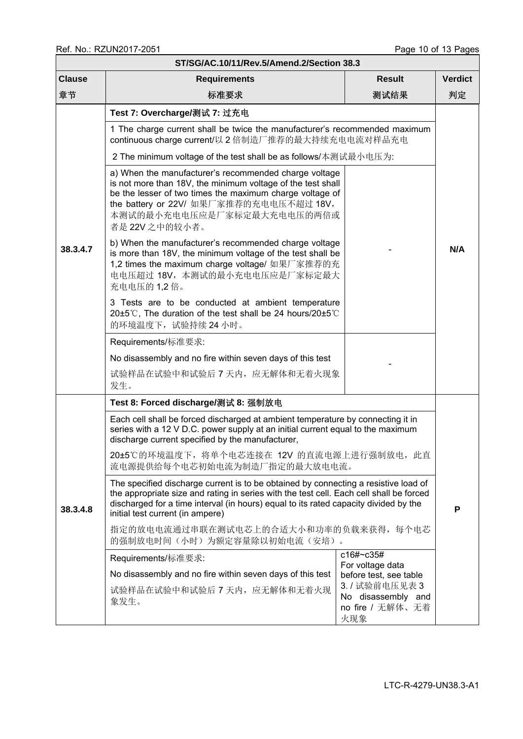| ST/SG/AC.10/11/Rev.5/Amend.2/Section 38.3 |                                                                                                                                                                                                                                                                                                            |                                     |                |  |  |  |  |
|-------------------------------------------|------------------------------------------------------------------------------------------------------------------------------------------------------------------------------------------------------------------------------------------------------------------------------------------------------------|-------------------------------------|----------------|--|--|--|--|
| <b>Clause</b>                             | <b>Requirements</b>                                                                                                                                                                                                                                                                                        | <b>Result</b>                       | <b>Verdict</b> |  |  |  |  |
| 章节                                        | 标准要求                                                                                                                                                                                                                                                                                                       | 测试结果                                | 判定             |  |  |  |  |
| 38.3.4.7                                  | Test 7: Overcharge/测试 7: 过充电<br>1 The charge current shall be twice the manufacturer's recommended maximum<br>continuous charge current/以 2 倍制造厂推荐的最大持续充电电流对样品充电<br>2 The minimum voltage of the test shall be as follows/本测试最小电压为:                                                                        |                                     |                |  |  |  |  |
|                                           | a) When the manufacturer's recommended charge voltage<br>is not more than 18V, the minimum voltage of the test shall<br>be the lesser of two times the maximum charge voltage of<br>the battery or 22V/ 如果厂家推荐的充电电压不超过 18V,<br>本测试的最小充电电压应是厂家标定最大充电电压的两倍或<br>者是 22V 之中的较小者。                                |                                     |                |  |  |  |  |
|                                           | b) When the manufacturer's recommended charge voltage<br>is more than 18V, the minimum voltage of the test shall be<br>1,2 times the maximum charge voltage/ 如果厂家推荐的充<br>电电压超过 18V, 本测试的最小充电电压应是厂家标定最大<br>充电电压的 1,2 倍。                                                                                     |                                     |                |  |  |  |  |
|                                           | 3 Tests are to be conducted at ambient temperature<br>20±5°C, The duration of the test shall be 24 hours/20±5°C<br>的环境温度下,试验持续24小时。                                                                                                                                                                        |                                     |                |  |  |  |  |
|                                           | Requirements/标准要求:                                                                                                                                                                                                                                                                                         |                                     |                |  |  |  |  |
|                                           | No disassembly and no fire within seven days of this test                                                                                                                                                                                                                                                  |                                     |                |  |  |  |  |
|                                           | 试验样品在试验中和试验后 7 天内, 应无解体和无着火现象<br>发生。                                                                                                                                                                                                                                                                       |                                     |                |  |  |  |  |
|                                           | Test 8: Forced discharge/测试 8: 强制放电                                                                                                                                                                                                                                                                        |                                     |                |  |  |  |  |
|                                           | Each cell shall be forced discharged at ambient temperature by connecting it in<br>series with a 12 V D.C. power supply at an initial current equal to the maximum<br>discharge current specified by the manufacturer,                                                                                     |                                     |                |  |  |  |  |
|                                           | 20±5℃的环境温度下, 将单个电芯连接在 12V 的直流电源上进行强制放电, 此直<br>流电源提供给每个电芯初始电流为制造厂指定的最大放电电流。                                                                                                                                                                                                                                 |                                     |                |  |  |  |  |
| 38.3.4.8                                  | The specified discharge current is to be obtained by connecting a resistive load of<br>the appropriate size and rating in series with the test cell. Each cell shall be forced<br>discharged for a time interval (in hours) equal to its rated capacity divided by the<br>initial test current (in ampere) |                                     |                |  |  |  |  |
|                                           | 指定的放电电流通过串联在测试电芯上的合适大小和功率的负载来获得, 每个电芯<br>的强制放电时间(小时)为额定容量除以初始电流(安培)。                                                                                                                                                                                                                                       |                                     |                |  |  |  |  |
|                                           | Requirements/标准要求:                                                                                                                                                                                                                                                                                         | $c16#$ ~ $c35#$<br>For voltage data |                |  |  |  |  |
|                                           | No disassembly and no fire within seven days of this test                                                                                                                                                                                                                                                  | before test, see table              |                |  |  |  |  |
|                                           | 3. / 试验前电压见表 3<br>试验样品在试验中和试验后 7 天内, 应无解体和无着火现<br>No disassembly and<br>象发生。<br>no fire / 无解体、无着<br>火现象                                                                                                                                                                                                    |                                     |                |  |  |  |  |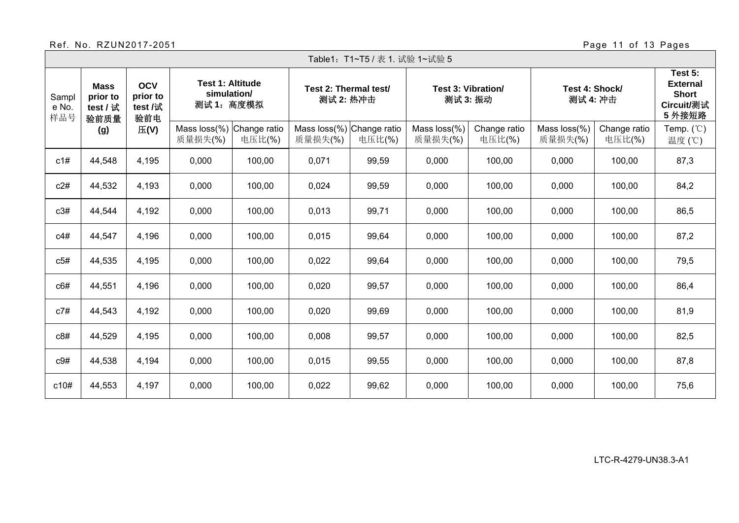# Ref. No. RZUN2017-2051<br>External page 11 of 13 Pages

┑

|                                      | Table1: T1~T5 / 表 1. 试验 1~试验 5 |                                          |                                                     |        |                                      |        |                                |                        |                            |                        |                                                                    |
|--------------------------------------|--------------------------------|------------------------------------------|-----------------------------------------------------|--------|--------------------------------------|--------|--------------------------------|------------------------|----------------------------|------------------------|--------------------------------------------------------------------|
| <b>Mass</b><br>Sampl<br>e No.<br>样品号 | prior to<br>test / 试<br>验前质量   | <b>OCV</b><br>prior to<br>test /试<br>验前电 | <b>Test 1: Altitude</b><br>simulation/<br>测试1: 高度模拟 |        | Test 2: Thermal test/<br>测试 2: 热冲击   |        | Test 3: Vibration/<br>测试 3: 振动 |                        | Test 4: Shock/<br>测试 4: 冲击 |                        | Test 5:<br><b>External</b><br><b>Short</b><br>Circuit/测试<br>5 外接短路 |
|                                      | (g)                            | E(V)                                     | Mass $loss$ (%) Change ratio<br>质量损失(%)             | 电压比(%) | Mass loss(%) Change ratio<br>质量损失(%) | 电压比(%) | Mass loss(%)<br>质量损失(%)        | Change ratio<br>电压比(%) | Mass loss(%)<br>质量损失(%)    | Change ratio<br>电压比(%) | Temp. $(^\circ \mathbb{C})$<br>温度 (℃)                              |
| c1#                                  | 44,548                         | 4,195                                    | 0,000                                               | 100,00 | 0,071                                | 99,59  | 0,000                          | 100,00                 | 0,000                      | 100,00                 | 87,3                                                               |
| c2#                                  | 44,532                         | 4,193                                    | 0,000                                               | 100,00 | 0,024                                | 99,59  | 0,000                          | 100,00                 | 0,000                      | 100,00                 | 84,2                                                               |
| c3#                                  | 44,544                         | 4,192                                    | 0,000                                               | 100,00 | 0,013                                | 99,71  | 0,000                          | 100,00                 | 0,000                      | 100,00                 | 86,5                                                               |
| C4#                                  | 44,547                         | 4,196                                    | 0,000                                               | 100,00 | 0,015                                | 99,64  | 0,000                          | 100,00                 | 0,000                      | 100,00                 | 87,2                                                               |
| c5#                                  | 44,535                         | 4,195                                    | 0,000                                               | 100,00 | 0,022                                | 99,64  | 0,000                          | 100,00                 | 0,000                      | 100,00                 | 79,5                                                               |
| c6#                                  | 44,551                         | 4,196                                    | 0,000                                               | 100,00 | 0,020                                | 99,57  | 0,000                          | 100,00                 | 0,000                      | 100,00                 | 86,4                                                               |
| c7#                                  | 44,543                         | 4,192                                    | 0,000                                               | 100,00 | 0,020                                | 99,69  | 0,000                          | 100,00                 | 0,000                      | 100,00                 | 81,9                                                               |
| c8#                                  | 44,529                         | 4,195                                    | 0,000                                               | 100,00 | 0,008                                | 99,57  | 0,000                          | 100,00                 | 0,000                      | 100,00                 | 82,5                                                               |
| c9#                                  | 44,538                         | 4,194                                    | 0,000                                               | 100,00 | 0,015                                | 99,55  | 0,000                          | 100,00                 | 0,000                      | 100,00                 | 87,8                                                               |
| c10#                                 | 44,553                         | 4,197                                    | 0,000                                               | 100,00 | 0,022                                | 99,62  | 0,000                          | 100,00                 | 0,000                      | 100,00                 | 75,6                                                               |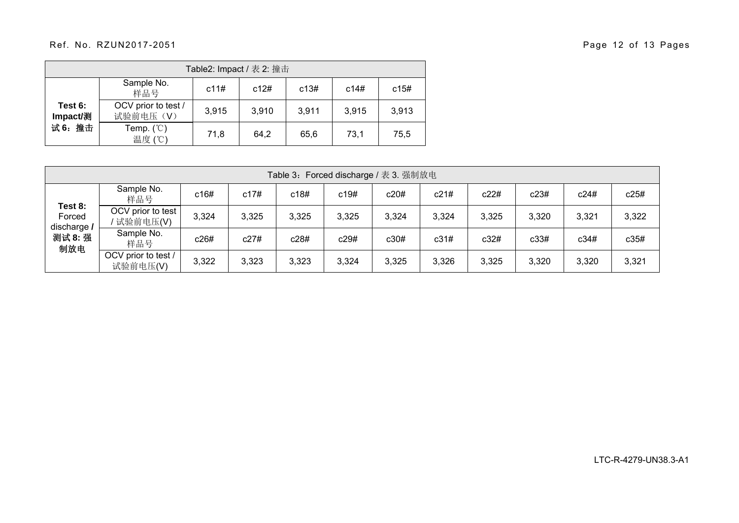### Ref. No. RZUN2017-2051 2008 Page 12 of 13 Pages

| Table2: Impact / 表 2: 撞击 |                                 |       |       |       |       |       |  |  |
|--------------------------|---------------------------------|-------|-------|-------|-------|-------|--|--|
|                          | Sample No.<br>样品号               | c11#  | c12#  | c13#  | c14#  | c15#  |  |  |
| Test 6:<br>Impact/测      | OCV prior to test /<br>试验前电压(V) | 3,915 | 3,910 | 3,911 | 3,915 | 3,913 |  |  |
| 试 6: 撞击                  | Temp. $(\mathcal{C})$<br>温度 (℃) | 71,8  | 64,2  | 65,6  | 73,1  | 75,5  |  |  |

| Table 3: Forced discharge / 表 3. 强制放电 |                                 |       |       |       |       |       |       |       |       |       |       |
|---------------------------------------|---------------------------------|-------|-------|-------|-------|-------|-------|-------|-------|-------|-------|
|                                       | Sample No.<br>样品号               | c16#  | c17#  | c18#  | c19#  | c20#  | c21#  | c22#  | c23#  | c24#  | c25#  |
| Test 8:<br>Forced<br>discharge /      | OCV prior to test<br>' 试验前电压(V) | 3,324 | 3,325 | 3,325 | 3,325 | 3,324 | 3,324 | 3,325 | 3,320 | 3,321 | 3,322 |
| 测试 8: 强<br>制放电                        | Sample No.<br>样品号               | c26#  | c27#  | c28#  | c29#  | c30#  | c31#  | c32#  | c33#  | c34#  | c35#  |
|                                       | OCV prior to test /<br>试验前电压(V) | 3,322 | 3,323 | 3,323 | 3,324 | 3,325 | 3,326 | 3,325 | 3,320 | 3,320 | 3,321 |